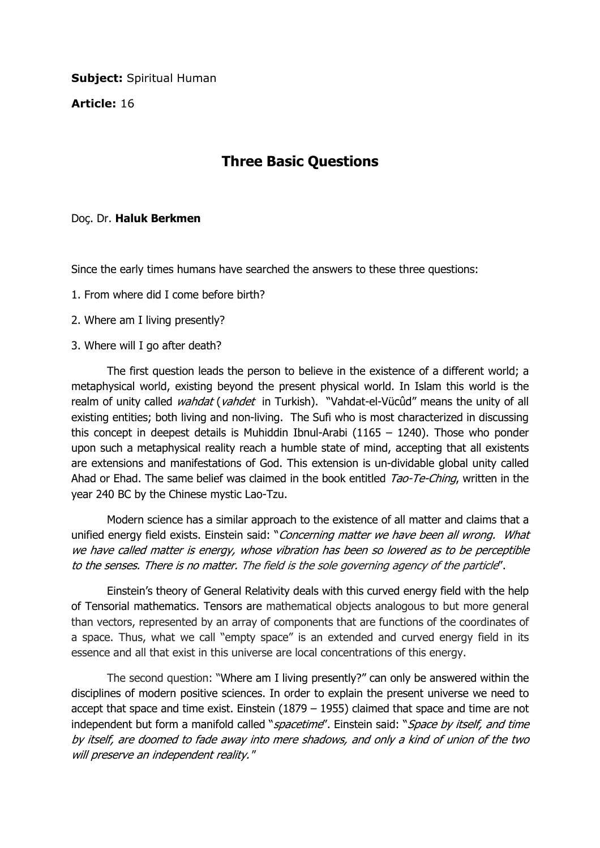**Subject: Spiritual Human** 

Article: 16

## Three Basic Questions

## Doç. Dr. Haluk Berkmen

Since the early times humans have searched the answers to these three questions:

- 1. From where did I come before birth?
- 2. Where am I living presently?
- 3. Where will I go after death?

 The first question leads the person to believe in the existence of a different world; a metaphysical world, existing beyond the present physical world. In Islam this world is the realm of unity called *wahdat* (*vahdet* in Turkish). "Vahdat-el-Vücûd" means the unity of all existing entities; both living and non-living. The Sufi who is most characterized in discussing this concept in deepest details is Muhiddin Ibnul-Arabi (1165 – 1240). Those who ponder upon such a metaphysical reality reach a humble state of mind, accepting that all existents are extensions and manifestations of God. This extension is un-dividable global unity called Ahad or Ehad. The same belief was claimed in the book entitled Tao-Te-Ching, written in the year 240 BC by the Chinese mystic Lao-Tzu.

 Modern science has a similar approach to the existence of all matter and claims that a unified energy field exists. Einstein said: "Concerning matter we have been all wrong. What we have called matter is energy, whose vibration has been so lowered as to be perceptible to the senses. There is no matter. The field is the sole governing agency of the particle".

 Einstein's theory of General Relativity deals with this curved energy field with the help of Tensorial mathematics. Tensors are mathematical objects analogous to but more general than vectors, represented by an array of components that are functions of the coordinates of a space. Thus, what we call "empty space" is an extended and curved energy field in its essence and all that exist in this universe are local concentrations of this energy.

 The second question: "Where am I living presently?" can only be answered within the disciplines of modern positive sciences. In order to explain the present universe we need to accept that space and time exist. Einstein (1879 – 1955) claimed that space and time are not independent but form a manifold called "*spacetime*". Einstein said: "*Space by itself, and time* by itself, are doomed to fade away into mere shadows, and only a kind of union of the two will preserve an independent reality."